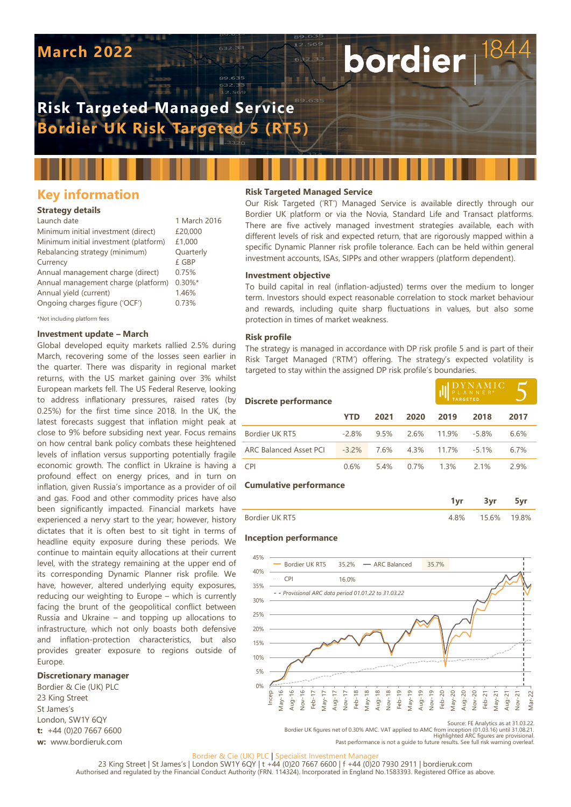# **March 2022**

# **Risk Targeted Managed Service Bordier UK Risk Targeted 5 (RT5)**

# **Key information**

## **Strategy details**

| Launch date                           | 1 March 2016 |
|---------------------------------------|--------------|
| Minimum initial investment (direct)   | £20,000      |
| Minimum initial investment (platform) | £1,000       |
| Rebalancing strategy (minimum)        | Quarterly    |
| Currency                              | £ GBP        |
| Annual management charge (direct)     | 0.75%        |
| Annual management charge (platform)   | $0.30\%$ *   |
| Annual yield (current)                | 1.46%        |
| Ongoing charges figure ('OCF')        | 0.73%        |
|                                       |              |

\*Not including platform fees

## **Investment update – March**

Global developed equity markets rallied 2.5% during March, recovering some of the losses seen earlier in the quarter. There was disparity in regional market returns, with the US market gaining over 3% whilst European markets fell. The US Federal Reserve, looking to address inflationary pressures, raised rates (by 0.25%) for the first time since 2018. In the UK, the latest forecasts suggest that inflation might peak at close to 9% before subsiding next year. Focus remains on how central bank policy combats these heightened levels of inflation versus supporting potentially fragile economic growth. The conflict in Ukraine is having a profound effect on energy prices, and in turn on inflation, given Russia's importance as a provider of oil and gas. Food and other commodity prices have also been significantly impacted. Financial markets have experienced a nervy start to the year; however, history dictates that it is often best to sit tight in terms of headline equity exposure during these periods. We continue to maintain equity allocations at their current level, with the strategy remaining at the upper end of its corresponding Dynamic Planner risk profile. We have, however, altered underlying equity exposures, reducing our weighting to Europe – which is currently facing the brunt of the geopolitical conflict between Russia and Ukraine – and topping up allocations to infrastructure, which not only boasts both defensive and inflation-protection characteristics, but also provides greater exposure to regions outside of Europe.

## **Discretionary manager**

Bordier & Cie (UK) PLC 23 King Street St James's London, SW1Y 6QY **t:** +44 (0)20 7667 6600 **w:** www.bordieruk.com

# **Risk Targeted Managed Service**

Our Risk Targeted ('RT') Managed Service is available directly through our Bordier UK platform or via the Novia, Standard Life and Transact platforms. There are five actively managed investment strategies available, each with different levels of risk and expected return, that are rigorously mapped within a specific Dynamic Planner risk profile tolerance. Each can be held within general investment accounts, ISAs, SIPPs and other wrappers (platform dependent).

bordier

#### **Investment objective**

To build capital in real (inflation-adjusted) terms over the medium to longer term. Investors should expect reasonable correlation to stock market behaviour and rewards, including quite sharp fluctuations in values, but also some protection in times of market weakness.

#### **Risk profile**

The strategy is managed in accordance with DP risk profile 5 and is part of their Risk Target Managed ('RTM') offering. The strategy's expected volatility is targeted to stay within the assigned DP risk profile's boundaries.

| <b>Discrete performance</b>   |          |      |      | $\underset{\mathsf{PL} \,\,\mathsf{AN} \,\,\mathsf{NE} \,\,\mathsf{R}^*}{\text{D} \,\mathsf{Y} \,\mathsf{N} \,\mathsf{N} \,\mathsf{NE} \,\mathsf{R}^*} \mathsf{C}$ |         |      |
|-------------------------------|----------|------|------|--------------------------------------------------------------------------------------------------------------------------------------------------------------------|---------|------|
|                               | YTD      | 2021 | 2020 | 2019                                                                                                                                                               | 2018    | 2017 |
| Bordier UK RT5                | $-2.8%$  | 9.5% | 2.6% | 11.9%                                                                                                                                                              | $-5.8%$ | 6.6% |
| <b>ARC Balanced Asset PCI</b> | $-3.2\%$ | 7.6% | 4.3% | 11.7%                                                                                                                                                              | $-51%$  | 6.7% |
| <b>CPI</b>                    | 0.6%     | 54%  | 0.7% | 1.3%                                                                                                                                                               | 21%     | 29%  |

#### **Cumulative performance**

|                | <b>START</b> |      |
|----------------|--------------|------|
| ordier LIK RT5 | 15.6%        | 9.8% |

#### **Inception performance**



Source: FE Analytics as at 31.03.22. Bordier UK figures net of 0.30% AMC. VAT applied to AMC from inception (01.03.16) until 31.08.21. Highlighted ARC figures are provisional. Past performance is not a guide to future results. See full risk warning overleaf.

#### Bordier & Cie (UK) PLC | Specialist Investment Manag

23 King Street | St James's | London SW1Y 6QY | t +44 (0)20 7667 6600 | f +44 (0)20 7930 2911 | bordieruk.com Authorised and regulated by the Financial Conduct Authority (FRN. 114324). Incorporated in England No.1583393. Registered Office as above.